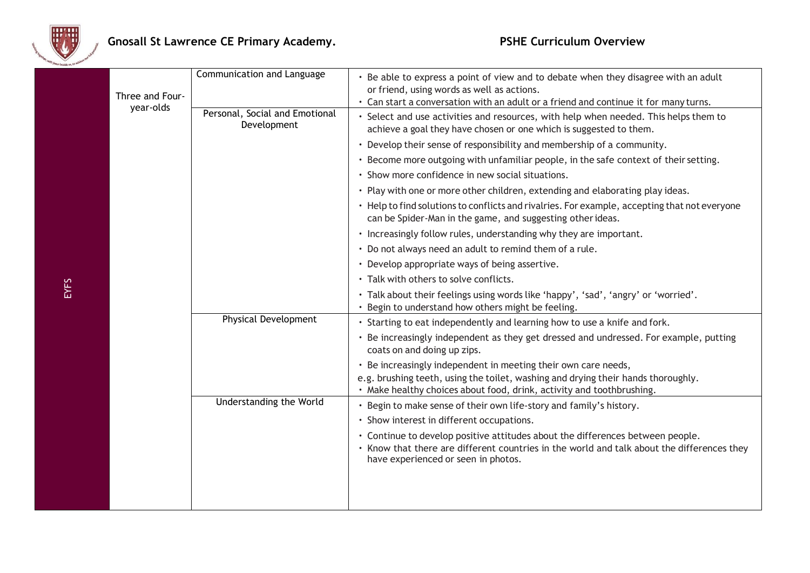

|  | Three and Four-<br>year-olds | Communication and Language                    | • Be able to express a point of view and to debate when they disagree with an adult<br>or friend, using words as well as actions.<br>Can start a conversation with an adult or a friend and continue it for many turns.      |  |
|--|------------------------------|-----------------------------------------------|------------------------------------------------------------------------------------------------------------------------------------------------------------------------------------------------------------------------------|--|
|  |                              | Personal, Social and Emotional<br>Development | Select and use activities and resources, with help when needed. This helps them to<br>achieve a goal they have chosen or one which is suggested to them.                                                                     |  |
|  |                              |                                               | • Develop their sense of responsibility and membership of a community.                                                                                                                                                       |  |
|  |                              |                                               | · Become more outgoing with unfamiliar people, in the safe context of their setting.                                                                                                                                         |  |
|  |                              |                                               | Show more confidence in new social situations.                                                                                                                                                                               |  |
|  |                              |                                               | . Play with one or more other children, extending and elaborating play ideas.                                                                                                                                                |  |
|  |                              |                                               | • Help to find solutions to conflicts and rivalries. For example, accepting that not everyone<br>can be Spider-Man in the game, and suggesting other ideas.                                                                  |  |
|  |                              |                                               | • Increasingly follow rules, understanding why they are important.                                                                                                                                                           |  |
|  |                              |                                               | • Do not always need an adult to remind them of a rule.                                                                                                                                                                      |  |
|  |                              |                                               | • Develop appropriate ways of being assertive.                                                                                                                                                                               |  |
|  |                              |                                               | Talk with others to solve conflicts.                                                                                                                                                                                         |  |
|  |                              |                                               | . Talk about their feelings using words like 'happy', 'sad', 'angry' or 'worried'.<br>Begin to understand how others might be feeling.                                                                                       |  |
|  |                              | <b>Physical Development</b>                   | · Starting to eat independently and learning how to use a knife and fork.                                                                                                                                                    |  |
|  |                              |                                               | Be increasingly independent as they get dressed and undressed. For example, putting<br>coats on and doing up zips.                                                                                                           |  |
|  |                              |                                               | · Be increasingly independent in meeting their own care needs,<br>e.g. brushing teeth, using the toilet, washing and drying their hands thoroughly.<br>· Make healthy choices about food, drink, activity and toothbrushing. |  |
|  |                              | Understanding the World                       | Begin to make sense of their own life-story and family's history.                                                                                                                                                            |  |
|  |                              |                                               | • Show interest in different occupations.                                                                                                                                                                                    |  |
|  |                              |                                               | · Continue to develop positive attitudes about the differences between people.<br>• Know that there are different countries in the world and talk about the differences they<br>have experienced or seen in photos.          |  |
|  |                              |                                               |                                                                                                                                                                                                                              |  |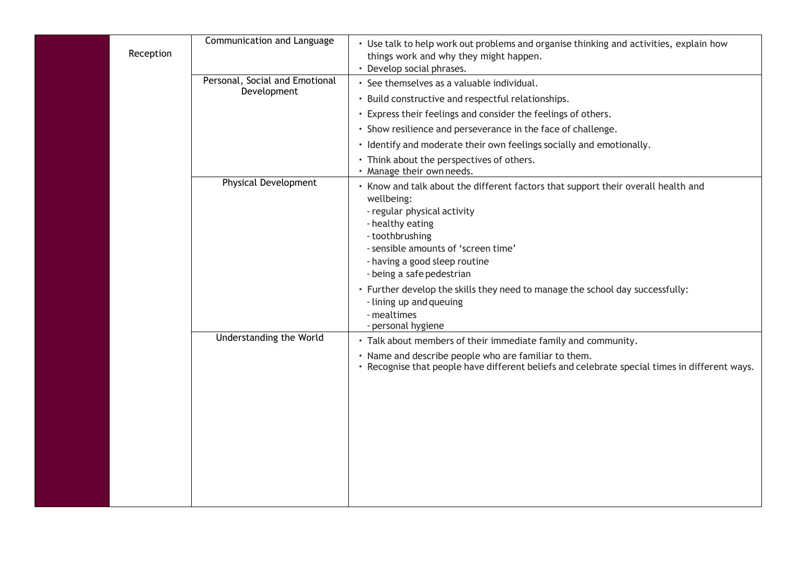| Reception | Communication and Language                    | • Use talk to help work out problems and organise thinking and activities, explain how<br>things work and why they might happen.<br>• Develop social phrases.                                                                                                              |
|-----------|-----------------------------------------------|----------------------------------------------------------------------------------------------------------------------------------------------------------------------------------------------------------------------------------------------------------------------------|
|           | Personal, Social and Emotional<br>Development | · See themselves as a valuable individual.<br>• Build constructive and respectful relationships.                                                                                                                                                                           |
|           |                                               | • Express their feelings and consider the feelings of others.                                                                                                                                                                                                              |
|           |                                               | · Show resilience and perseverance in the face of challenge.                                                                                                                                                                                                               |
|           |                                               | · Identify and moderate their own feelings socially and emotionally.                                                                                                                                                                                                       |
|           |                                               | • Think about the perspectives of others.<br>· Manage their own needs.                                                                                                                                                                                                     |
|           | <b>Physical Development</b>                   | • Know and talk about the different factors that support their overall health and<br>wellbeing:<br>- regular physical activity<br>- healthy eating<br>- toothbrushing<br>- sensible amounts of 'screen time'<br>- having a good sleep routine<br>- being a safe pedestrian |
|           |                                               | · Further develop the skills they need to manage the school day successfully:<br>- lining up and queuing<br>- mealtimes<br>- personal hygiene                                                                                                                              |
|           | Understanding the World                       | · Talk about members of their immediate family and community.<br>· Name and describe people who are familiar to them.<br>• Recognise that people have different beliefs and celebrate special times in different ways.                                                     |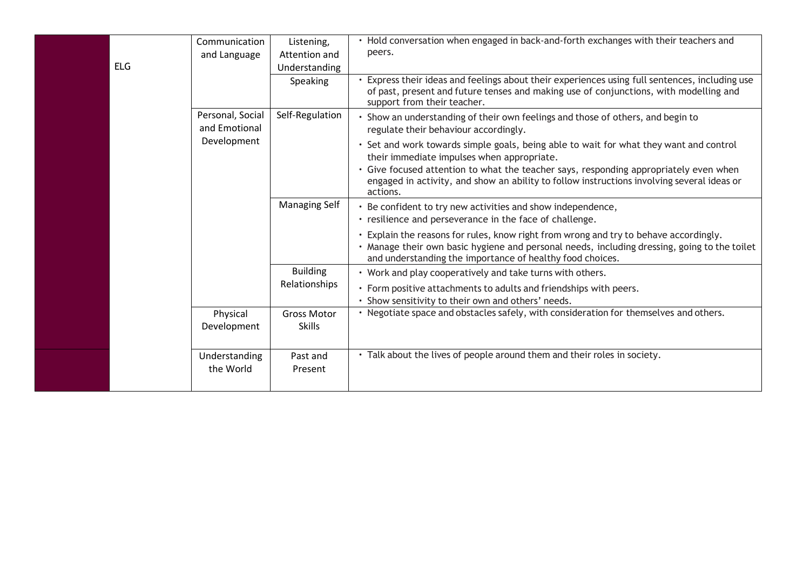| <b>ELG</b> | Communication<br>and Language     | Listening,<br>Attention and<br>Understanding | • Hold conversation when engaged in back-and-forth exchanges with their teachers and<br>peers.                                                                                                                                                     |
|------------|-----------------------------------|----------------------------------------------|----------------------------------------------------------------------------------------------------------------------------------------------------------------------------------------------------------------------------------------------------|
|            |                                   | Speaking                                     | Express their ideas and feelings about their experiences using full sentences, including use<br>of past, present and future tenses and making use of conjunctions, with modelling and<br>support from their teacher.                               |
|            | Personal, Social<br>and Emotional | Self-Regulation                              | · Show an understanding of their own feelings and those of others, and begin to<br>regulate their behaviour accordingly.                                                                                                                           |
|            | Development                       |                                              | · Set and work towards simple goals, being able to wait for what they want and control<br>their immediate impulses when appropriate.                                                                                                               |
|            |                                   |                                              | · Give focused attention to what the teacher says, responding appropriately even when<br>engaged in activity, and show an ability to follow instructions involving several ideas or<br>actions.                                                    |
|            |                                   | <b>Managing Self</b>                         | • Be confident to try new activities and show independence,<br>· resilience and perseverance in the face of challenge.                                                                                                                             |
|            |                                   |                                              | · Explain the reasons for rules, know right from wrong and try to behave accordingly.<br>. Manage their own basic hygiene and personal needs, including dressing, going to the toilet<br>and understanding the importance of healthy food choices. |
|            |                                   | <b>Building</b>                              | • Work and play cooperatively and take turns with others.                                                                                                                                                                                          |
|            |                                   | Relationships                                | · Form positive attachments to adults and friendships with peers.<br>Show sensitivity to their own and others' needs.                                                                                                                              |
|            | Physical<br>Development           | <b>Gross Motor</b><br><b>Skills</b>          | • Negotiate space and obstacles safely, with consideration for themselves and others.                                                                                                                                                              |
|            | Understanding<br>the World        | Past and<br>Present                          | • Talk about the lives of people around them and their roles in society.                                                                                                                                                                           |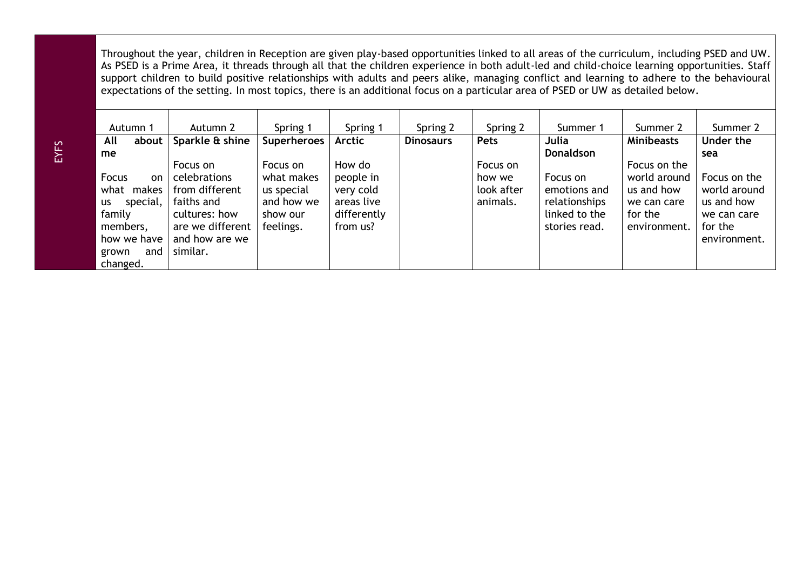Throughout the year, children in Reception are given play-based opportunities linked to all areas of the curriculum, including PSED and UW. As PSED is a Prime Area, it threads through all that the children experience in both adult-led and child-choice learning opportunities. Staff support children to build positive relationships with adults and peers alike, managing conflict and learning to adhere to the behavioural expectations of the setting. In most topics, there is an additional focus on a particular area of PSED or UW as detailed below.

| Autumn 1                                                                                                                          | Autumn 2                                                                                                                    | Spring 1                                                                    | Spring 1                                                                  | Spring 2         | Spring 2                                     | Summer 1                                                                    | Summer 2                                                                             | Summer 2                                                                             |
|-----------------------------------------------------------------------------------------------------------------------------------|-----------------------------------------------------------------------------------------------------------------------------|-----------------------------------------------------------------------------|---------------------------------------------------------------------------|------------------|----------------------------------------------|-----------------------------------------------------------------------------|--------------------------------------------------------------------------------------|--------------------------------------------------------------------------------------|
| All<br>about                                                                                                                      | Sparkle & shine                                                                                                             | Superheroes                                                                 | Arctic                                                                    | <b>Dinosaurs</b> | <b>Pets</b>                                  | Julia                                                                       | <b>Minibeasts</b>                                                                    | Under the                                                                            |
| me                                                                                                                                |                                                                                                                             |                                                                             |                                                                           |                  |                                              | <b>Donaldson</b>                                                            |                                                                                      | sea                                                                                  |
| Focus<br><sub>on</sub><br>what<br>makes<br>special,<br><b>us</b><br>family<br>members,<br>how we have<br>and<br>grown<br>changed. | Focus on<br>celebrations<br>from different<br>faiths and<br>cultures: how<br>are we different<br>and how are we<br>similar. | Focus on<br>what makes<br>us special<br>and how we<br>show our<br>feelings. | How do<br>people in<br>very cold<br>areas live<br>differently<br>from us? |                  | Focus on<br>how we<br>look after<br>animals. | Focus on<br>emotions and<br>relationships<br>linked to the<br>stories read. | Focus on the<br>world around<br>us and how<br>we can care<br>for the<br>environment. | Focus on the<br>world around<br>us and how<br>we can care<br>for the<br>environment. |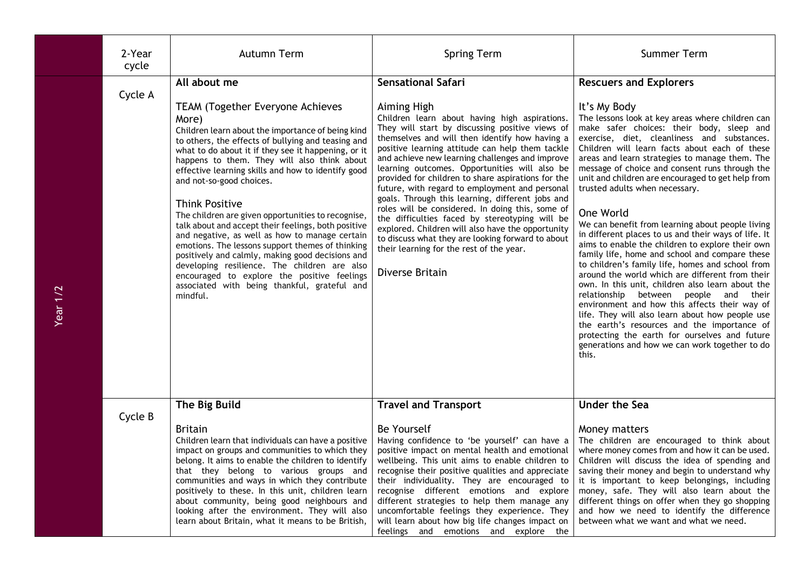| 2-Year<br>cycle | Autumn Term                                                                                                                                                                                                                                                                                                                                                                                                                                                                                                                                                                                                                                                                                                                                                                                                                    | <b>Spring Term</b>                                                                                                                                                                                                                                                                                                                                                                                                                                                                                                                                                                                                                                                                                                                                                                               | <b>Summer Term</b>                                                                                                                                                                                                                                                                                                                                                                                                                                                                                                                                                                                                                                                                                                                                                                                                                                                                                                                                                                                                                                                                                                                             |
|-----------------|--------------------------------------------------------------------------------------------------------------------------------------------------------------------------------------------------------------------------------------------------------------------------------------------------------------------------------------------------------------------------------------------------------------------------------------------------------------------------------------------------------------------------------------------------------------------------------------------------------------------------------------------------------------------------------------------------------------------------------------------------------------------------------------------------------------------------------|--------------------------------------------------------------------------------------------------------------------------------------------------------------------------------------------------------------------------------------------------------------------------------------------------------------------------------------------------------------------------------------------------------------------------------------------------------------------------------------------------------------------------------------------------------------------------------------------------------------------------------------------------------------------------------------------------------------------------------------------------------------------------------------------------|------------------------------------------------------------------------------------------------------------------------------------------------------------------------------------------------------------------------------------------------------------------------------------------------------------------------------------------------------------------------------------------------------------------------------------------------------------------------------------------------------------------------------------------------------------------------------------------------------------------------------------------------------------------------------------------------------------------------------------------------------------------------------------------------------------------------------------------------------------------------------------------------------------------------------------------------------------------------------------------------------------------------------------------------------------------------------------------------------------------------------------------------|
| Cycle A         | All about me<br><b>TEAM (Together Everyone Achieves</b><br>More)<br>Children learn about the importance of being kind<br>to others, the effects of bullying and teasing and<br>what to do about it if they see it happening, or it<br>happens to them. They will also think about<br>effective learning skills and how to identify good<br>and not-so-good choices.<br><b>Think Positive</b><br>The children are given opportunities to recognise,<br>talk about and accept their feelings, both positive<br>and negative, as well as how to manage certain<br>emotions. The lessons support themes of thinking<br>positively and calmly, making good decisions and<br>developing resilience. The children are also<br>encouraged to explore the positive feelings<br>associated with being thankful, grateful and<br>mindful. | <b>Sensational Safari</b><br>Aiming High<br>Children learn about having high aspirations.<br>They will start by discussing positive views of<br>themselves and will then identify how having a<br>positive learning attitude can help them tackle<br>and achieve new learning challenges and improve<br>learning outcomes. Opportunities will also be<br>provided for children to share aspirations for the<br>future, with regard to employment and personal<br>goals. Through this learning, different jobs and<br>roles will be considered. In doing this, some of<br>the difficulties faced by stereotyping will be<br>explored. Children will also have the opportunity<br>to discuss what they are looking forward to about<br>their learning for the rest of the year.<br>Diverse Britain | <b>Rescuers and Explorers</b><br>It's My Body<br>The lessons look at key areas where children can<br>make safer choices: their body, sleep and<br>exercise, diet, cleanliness and substances.<br>Children will learn facts about each of these<br>areas and learn strategies to manage them. The<br>message of choice and consent runs through the<br>unit and children are encouraged to get help from<br>trusted adults when necessary.<br>One World<br>We can benefit from learning about people living<br>in different places to us and their ways of life. It<br>aims to enable the children to explore their own<br>family life, home and school and compare these<br>to children's family life, homes and school from<br>around the world which are different from their<br>own. In this unit, children also learn about the<br>relationship between people and<br>their<br>environment and how this affects their way of<br>life. They will also learn about how people use<br>the earth's resources and the importance of<br>protecting the earth for ourselves and future<br>generations and how we can work together to do<br>this. |
| Cycle B         | The Big Build<br><b>Britain</b><br>Children learn that individuals can have a positive<br>impact on groups and communities to which they<br>belong. It aims to enable the children to identify                                                                                                                                                                                                                                                                                                                                                                                                                                                                                                                                                                                                                                 | <b>Travel and Transport</b><br><b>Be Yourself</b><br>Having confidence to 'be yourself' can have a<br>positive impact on mental health and emotional<br>wellbeing. This unit aims to enable children to                                                                                                                                                                                                                                                                                                                                                                                                                                                                                                                                                                                          | <b>Under the Sea</b><br>Money matters<br>The children are encouraged to think about<br>where money comes from and how it can be used.<br>Children will discuss the idea of spending and                                                                                                                                                                                                                                                                                                                                                                                                                                                                                                                                                                                                                                                                                                                                                                                                                                                                                                                                                        |
|                 | that they belong to various groups and<br>communities and ways in which they contribute<br>positively to these. In this unit, children learn<br>about community, being good neighbours and<br>looking after the environment. They will also<br>learn about Britain, what it means to be British,                                                                                                                                                                                                                                                                                                                                                                                                                                                                                                                               | recognise their positive qualities and appreciate<br>their individuality. They are encouraged to<br>recognise different emotions and explore<br>different strategies to help them manage any<br>uncomfortable feelings they experience. They<br>will learn about how big life changes impact on<br>feelings and emotions and explore the                                                                                                                                                                                                                                                                                                                                                                                                                                                         | saving their money and begin to understand why<br>it is important to keep belongings, including<br>money, safe. They will also learn about the<br>different things on offer when they go shopping<br>and how we need to identify the difference<br>between what we want and what we need.                                                                                                                                                                                                                                                                                                                                                                                                                                                                                                                                                                                                                                                                                                                                                                                                                                                      |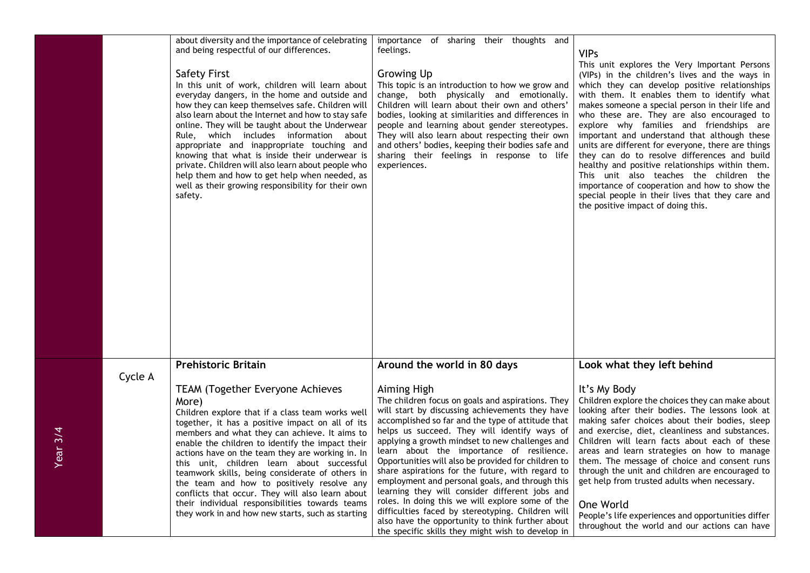|         |         | about diversity and the importance of celebrating<br>and being respectful of our differences.<br><b>Safety First</b><br>In this unit of work, children will learn about<br>everyday dangers, in the home and outside and<br>how they can keep themselves safe. Children will<br>also learn about the Internet and how to stay safe<br>online. They will be taught about the Underwear<br>Rule, which includes information about<br>appropriate and inappropriate touching and<br>knowing that what is inside their underwear is<br>private. Children will also learn about people who<br>help them and how to get help when needed, as<br>well as their growing responsibility for their own<br>safety. | importance of sharing their thoughts and<br>feelings.<br><b>Growing Up</b><br>This topic is an introduction to how we grow and<br>change, both physically and emotionally.<br>Children will learn about their own and others'<br>bodies, looking at similarities and differences in<br>people and learning about gender stereotypes.<br>They will also learn about respecting their own<br>and others' bodies, keeping their bodies safe and<br>sharing their feelings in response to life<br>experiences.                                                                                                                                                                                                                                                 | <b>VIPs</b><br>This unit explores the Very Important Persons<br>(VIPs) in the children's lives and the ways in<br>which they can develop positive relationships<br>with them. It enables them to identify what<br>makes someone a special person in their life and<br>who these are. They are also encouraged to<br>explore why families and friendships are<br>important and understand that although these<br>units are different for everyone, there are things<br>they can do to resolve differences and build<br>healthy and positive relationships within them.<br>This unit also teaches the children the<br>importance of cooperation and how to show the<br>special people in their lives that they care and<br>the positive impact of doing this. |
|---------|---------|---------------------------------------------------------------------------------------------------------------------------------------------------------------------------------------------------------------------------------------------------------------------------------------------------------------------------------------------------------------------------------------------------------------------------------------------------------------------------------------------------------------------------------------------------------------------------------------------------------------------------------------------------------------------------------------------------------|------------------------------------------------------------------------------------------------------------------------------------------------------------------------------------------------------------------------------------------------------------------------------------------------------------------------------------------------------------------------------------------------------------------------------------------------------------------------------------------------------------------------------------------------------------------------------------------------------------------------------------------------------------------------------------------------------------------------------------------------------------|-------------------------------------------------------------------------------------------------------------------------------------------------------------------------------------------------------------------------------------------------------------------------------------------------------------------------------------------------------------------------------------------------------------------------------------------------------------------------------------------------------------------------------------------------------------------------------------------------------------------------------------------------------------------------------------------------------------------------------------------------------------|
|         |         |                                                                                                                                                                                                                                                                                                                                                                                                                                                                                                                                                                                                                                                                                                         |                                                                                                                                                                                                                                                                                                                                                                                                                                                                                                                                                                                                                                                                                                                                                            |                                                                                                                                                                                                                                                                                                                                                                                                                                                                                                                                                                                                                                                                                                                                                             |
|         |         | <b>Prehistoric Britain</b>                                                                                                                                                                                                                                                                                                                                                                                                                                                                                                                                                                                                                                                                              | Around the world in 80 days                                                                                                                                                                                                                                                                                                                                                                                                                                                                                                                                                                                                                                                                                                                                | Look what they left behind                                                                                                                                                                                                                                                                                                                                                                                                                                                                                                                                                                                                                                                                                                                                  |
| ear 3/4 | Cycle A | <b>TEAM (Together Everyone Achieves</b><br>More)<br>Children explore that if a class team works well<br>together, it has a positive impact on all of its<br>members and what they can achieve. It aims to<br>enable the children to identify the impact their<br>actions have on the team they are working in. In<br>this unit, children learn about successful<br>teamwork skills, being considerate of others in<br>the team and how to positively resolve any<br>conflicts that occur. They will also learn about<br>their individual responsibilities towards teams<br>they work in and how new starts, such as starting                                                                            | Aiming High<br>The children focus on goals and aspirations. They<br>will start by discussing achievements they have<br>accomplished so far and the type of attitude that<br>helps us succeed. They will identify ways of<br>applying a growth mindset to new challenges and<br>learn about the importance of resilience.<br>Opportunities will also be provided for children to<br>share aspirations for the future, with regard to<br>employment and personal goals, and through this<br>learning they will consider different jobs and<br>roles. In doing this we will explore some of the<br>difficulties faced by stereotyping. Children will<br>also have the opportunity to think further about<br>the specific skills they might wish to develop in | It's My Body<br>Children explore the choices they can make about<br>looking after their bodies. The lessons look at<br>making safer choices about their bodies, sleep<br>and exercise, diet, cleanliness and substances.<br>Children will learn facts about each of these<br>areas and learn strategies on how to manage<br>them. The message of choice and consent runs<br>through the unit and children are encouraged to<br>get help from trusted adults when necessary.<br>One World<br>People's life experiences and opportunities differ<br>throughout the world and our actions can have                                                                                                                                                             |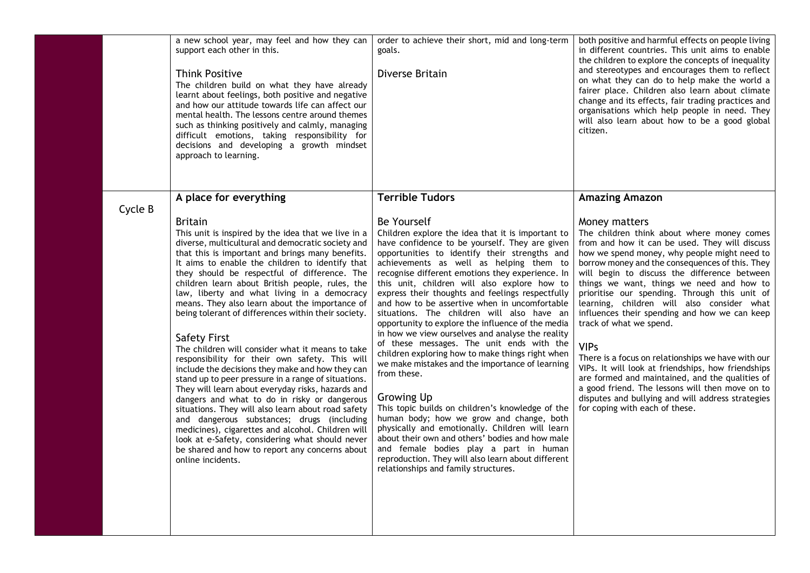|         | a new school year, may feel and how they can<br>support each other in this.<br><b>Think Positive</b><br>The children build on what they have already<br>learnt about feelings, both positive and negative<br>and how our attitude towards life can affect our<br>mental health. The lessons centre around themes<br>such as thinking positively and calmly, managing<br>difficult emotions, taking responsibility for<br>decisions and developing a growth mindset<br>approach to learning.                                                                                                                                                                                                                                                                                                                                                                                                                                                                                                                                                                                                                                  | order to achieve their short, mid and long-term<br>goals.<br>Diverse Britain                                                                                                                                                                                                                                                                                                                                                                                                                                                                                                                                                                                                                                                                                                                                                                                                                                                                                                                                                                                                                                         | both positive and harmful effects on people living<br>in different countries. This unit aims to enable<br>the children to explore the concepts of inequality<br>and stereotypes and encourages them to reflect<br>on what they can do to help make the world a<br>fairer place. Children also learn about climate<br>change and its effects, fair trading practices and<br>organisations which help people in need. They<br>will also learn about how to be a good global<br>citizen.                                                                                                                                                                                                                                                                                                                            |
|---------|------------------------------------------------------------------------------------------------------------------------------------------------------------------------------------------------------------------------------------------------------------------------------------------------------------------------------------------------------------------------------------------------------------------------------------------------------------------------------------------------------------------------------------------------------------------------------------------------------------------------------------------------------------------------------------------------------------------------------------------------------------------------------------------------------------------------------------------------------------------------------------------------------------------------------------------------------------------------------------------------------------------------------------------------------------------------------------------------------------------------------|----------------------------------------------------------------------------------------------------------------------------------------------------------------------------------------------------------------------------------------------------------------------------------------------------------------------------------------------------------------------------------------------------------------------------------------------------------------------------------------------------------------------------------------------------------------------------------------------------------------------------------------------------------------------------------------------------------------------------------------------------------------------------------------------------------------------------------------------------------------------------------------------------------------------------------------------------------------------------------------------------------------------------------------------------------------------------------------------------------------------|------------------------------------------------------------------------------------------------------------------------------------------------------------------------------------------------------------------------------------------------------------------------------------------------------------------------------------------------------------------------------------------------------------------------------------------------------------------------------------------------------------------------------------------------------------------------------------------------------------------------------------------------------------------------------------------------------------------------------------------------------------------------------------------------------------------|
| Cycle B | A place for everything                                                                                                                                                                                                                                                                                                                                                                                                                                                                                                                                                                                                                                                                                                                                                                                                                                                                                                                                                                                                                                                                                                       | <b>Terrible Tudors</b>                                                                                                                                                                                                                                                                                                                                                                                                                                                                                                                                                                                                                                                                                                                                                                                                                                                                                                                                                                                                                                                                                               | <b>Amazing Amazon</b>                                                                                                                                                                                                                                                                                                                                                                                                                                                                                                                                                                                                                                                                                                                                                                                            |
|         | <b>Britain</b><br>This unit is inspired by the idea that we live in a<br>diverse, multicultural and democratic society and<br>that this is important and brings many benefits.<br>It aims to enable the children to identify that<br>they should be respectful of difference. The<br>children learn about British people, rules, the<br>law, liberty and what living in a democracy<br>means. They also learn about the importance of<br>being tolerant of differences within their society.<br><b>Safety First</b><br>The children will consider what it means to take<br>responsibility for their own safety. This will<br>include the decisions they make and how they can<br>stand up to peer pressure in a range of situations.<br>They will learn about everyday risks, hazards and<br>dangers and what to do in risky or dangerous<br>situations. They will also learn about road safety<br>and dangerous substances; drugs (including<br>medicines), cigarettes and alcohol. Children will<br>look at e-Safety, considering what should never<br>be shared and how to report any concerns about<br>online incidents. | Be Yourself<br>Children explore the idea that it is important to<br>have confidence to be yourself. They are given<br>opportunities to identify their strengths and<br>achievements as well as helping them to<br>recognise different emotions they experience. In<br>this unit, children will also explore how to<br>express their thoughts and feelings respectfully<br>and how to be assertive when in uncomfortable<br>situations. The children will also have an<br>opportunity to explore the influence of the media<br>in how we view ourselves and analyse the reality<br>of these messages. The unit ends with the<br>children exploring how to make things right when<br>we make mistakes and the importance of learning<br>from these.<br><b>Growing Up</b><br>This topic builds on children's knowledge of the<br>human body; how we grow and change, both<br>physically and emotionally. Children will learn<br>about their own and others' bodies and how male<br>and female bodies play a part in human<br>reproduction. They will also learn about different<br>relationships and family structures. | Money matters<br>The children think about where money comes<br>from and how it can be used. They will discuss<br>how we spend money, why people might need to<br>borrow money and the consequences of this. They<br>will begin to discuss the difference between<br>things we want, things we need and how to<br>prioritise our spending. Through this unit of<br>learning, children will also consider what<br>influences their spending and how we can keep<br>track of what we spend.<br><b>VIPs</b><br>There is a focus on relationships we have with our<br>VIPs. It will look at friendships, how friendships<br>are formed and maintained, and the qualities of<br>a good friend. The lessons will then move on to<br>disputes and bullying and will address strategies<br>for coping with each of these. |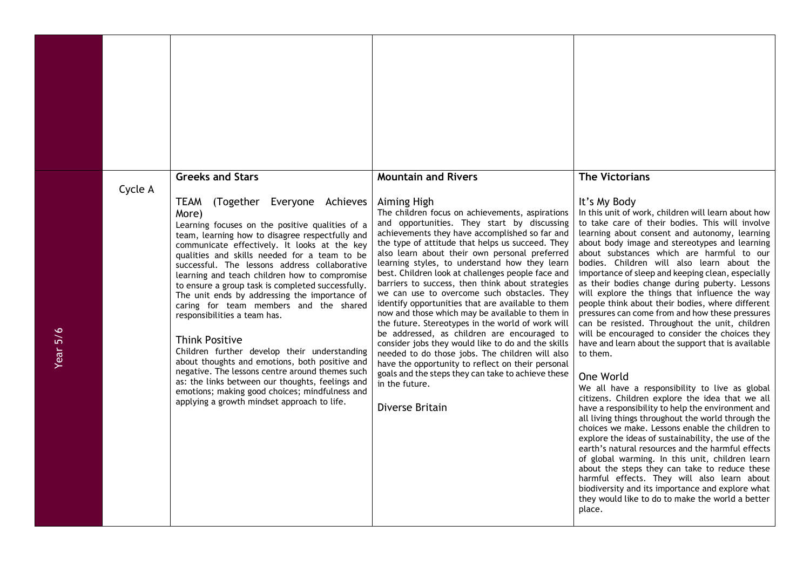| Cycle A | <b>Greeks and Stars</b><br>(Together Everyone Achieves<br><b>TEAM</b><br>More)<br>Learning focuses on the positive qualities of a<br>team, learning how to disagree respectfully and<br>communicate effectively. It looks at the key<br>qualities and skills needed for a team to be<br>successful. The lessons address collaborative<br>learning and teach children how to compromise<br>to ensure a group task is completed successfully.<br>The unit ends by addressing the importance of<br>caring for team members and the shared<br>responsibilities a team has.<br><b>Think Positive</b><br>Children further develop their understanding<br>about thoughts and emotions, both positive and<br>negative. The lessons centre around themes such<br>as: the links between our thoughts, feelings and<br>emotions; making good choices; mindfulness and<br>applying a growth mindset approach to life. | <b>Mountain and Rivers</b><br>Aiming High<br>The children focus on achievements, aspirations<br>and opportunities. They start by discussing<br>achievements they have accomplished so far and<br>the type of attitude that helps us succeed. They<br>also learn about their own personal preferred<br>learning styles, to understand how they learn<br>best. Children look at challenges people face and<br>barriers to success, then think about strategies<br>we can use to overcome such obstacles. They<br>identify opportunities that are available to them<br>now and those which may be available to them in<br>the future. Stereotypes in the world of work will<br>be addressed, as children are encouraged to<br>consider jobs they would like to do and the skills<br>needed to do those jobs. The children will also<br>have the opportunity to reflect on their personal<br>goals and the steps they can take to achieve these<br>in the future.<br>Diverse Britain | <b>The Victorians</b><br>It's My Body<br>In this unit of work, children will learn about how<br>to take care of their bodies. This will involve<br>learning about consent and autonomy, learning<br>about body image and stereotypes and learning<br>about substances which are harmful to our<br>bodies. Children will also learn about the<br>importance of sleep and keeping clean, especially<br>as their bodies change during puberty. Lessons<br>will explore the things that influence the way<br>people think about their bodies, where different<br>pressures can come from and how these pressures<br>can be resisted. Throughout the unit, children<br>will be encouraged to consider the choices they<br>have and learn about the support that is available<br>to them.<br>One World<br>We all have a responsibility to live as global<br>citizens. Children explore the idea that we all<br>have a responsibility to help the environment and<br>all living things throughout the world through the<br>choices we make. Lessons enable the children to<br>explore the ideas of sustainability, the use of the<br>earth's natural resources and the harmful effects<br>of global warming. In this unit, children learn<br>about the steps they can take to reduce these<br>harmful effects. They will also learn about<br>biodiversity and its importance and explore what<br>they would like to do to make the world a better<br>place. |
|---------|-----------------------------------------------------------------------------------------------------------------------------------------------------------------------------------------------------------------------------------------------------------------------------------------------------------------------------------------------------------------------------------------------------------------------------------------------------------------------------------------------------------------------------------------------------------------------------------------------------------------------------------------------------------------------------------------------------------------------------------------------------------------------------------------------------------------------------------------------------------------------------------------------------------|----------------------------------------------------------------------------------------------------------------------------------------------------------------------------------------------------------------------------------------------------------------------------------------------------------------------------------------------------------------------------------------------------------------------------------------------------------------------------------------------------------------------------------------------------------------------------------------------------------------------------------------------------------------------------------------------------------------------------------------------------------------------------------------------------------------------------------------------------------------------------------------------------------------------------------------------------------------------------------|------------------------------------------------------------------------------------------------------------------------------------------------------------------------------------------------------------------------------------------------------------------------------------------------------------------------------------------------------------------------------------------------------------------------------------------------------------------------------------------------------------------------------------------------------------------------------------------------------------------------------------------------------------------------------------------------------------------------------------------------------------------------------------------------------------------------------------------------------------------------------------------------------------------------------------------------------------------------------------------------------------------------------------------------------------------------------------------------------------------------------------------------------------------------------------------------------------------------------------------------------------------------------------------------------------------------------------------------------------------------------------------------------------------------------------------------------|